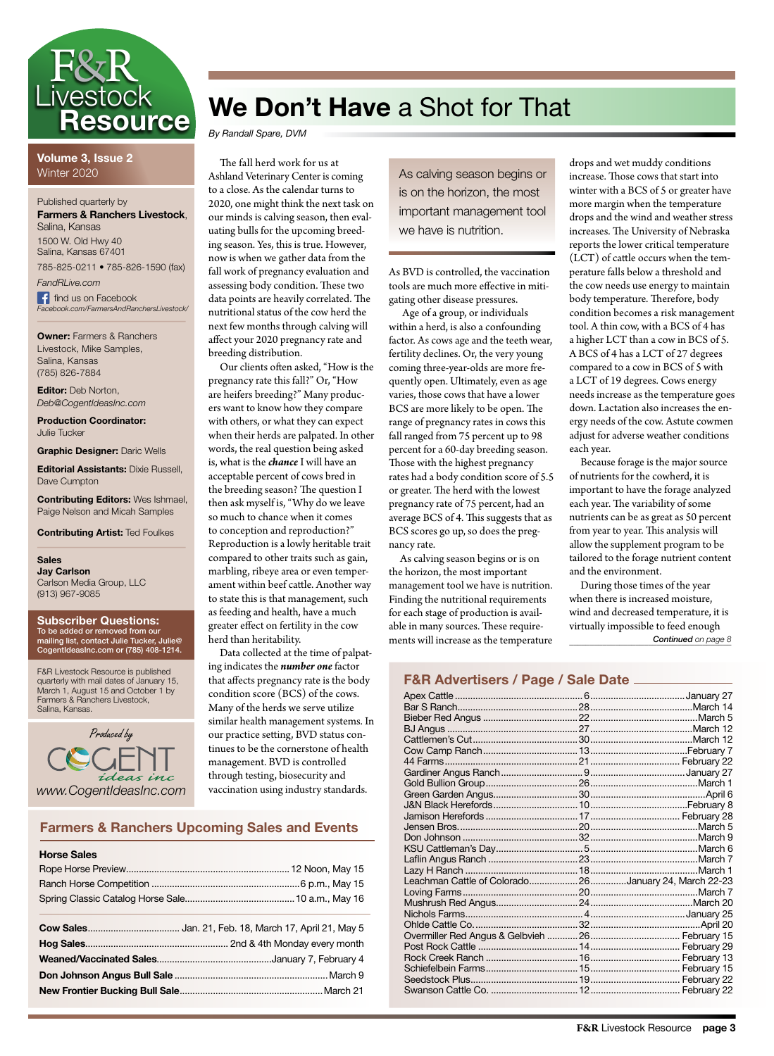

**Volume 3, Issue 2** Winter 2020

Published quarterly by **Farmers & Ranchers Livestock**, Salina, Kansas

1500 W. Old Hwy 40 Salina, Kansas 67401 785-825-0211 • 785-826-1590 (fax)

*FandRLive.com* f find us on Facebook *Facebook.com/FarmersAndRanchersLivestock/*

**Owner:** Farmers & Ranchers Livestock, Mike Samples, Salina, Kansas (785) 826-7884

**Editor:** Deb Norton, *Deb@CogentIdeasInc.com*

**Production Coordinator:** Julie Tucker

**Graphic Designer:** Daric Wells

**Editorial Assistants:** Dixie Russell, Dave Cumpton

**Contributing Editors:** Wes Ishmael, Paige Nelson and Micah Samples

**Contributing Artist:** Ted Foulkes

**Sales Jay Carlson** Carlson Media Group, LLC (913) 967-9085

#### **Subscriber Questions:** To be added or removed from our mailing list, contact Julie Tucker, Julie@ CogentIdeasInc.com or (785) 408-1214.

F&R Livestock Resource is published quarterly with mail dates of January 15, March 1, August 15 and October 1 by Farmers & Ranchers Livestock, Salina, Kansas.



## **We Don't Have** a Shot for That

*By Randall Spare, DVM*

The fall herd work for us at Ashland Veterinary Center is coming to a close. As the calendar turns to 2020, one might think the next task on our minds is calving season, then evaluating bulls for the upcoming breeding season. Yes, this is true. However, now is when we gather data from the fall work of pregnancy evaluation and assessing body condition. These two data points are heavily correlated. The nutritional status of the cow herd the next few months through calving will affect your 2020 pregnancy rate and breeding distribution.

Our clients often asked, "How is the pregnancy rate this fall?" Or, "How are heifers breeding?" Many producers want to know how they compare with others, or what they can expect when their herds are palpated. In other words, the real question being asked is, what is the *chance* I will have an acceptable percent of cows bred in the breeding season? The question I then ask myself is, "Why do we leave so much to chance when it comes to conception and reproduction?" Reproduction is a lowly heritable trait compared to other traits such as gain, marbling, ribeye area or even temperament within beef cattle. Another way to state this is that management, such as feeding and health, have a much greater effect on fertility in the cow herd than heritability.

Data collected at the time of palpating indicates the *number one* factor that affects pregnancy rate is the body condition score (BCS) of the cows. Many of the herds we serve utilize similar health management systems. In our practice setting, BVD status continues to be the cornerstone of health management. BVD is controlled through testing, biosecurity and vaccination using industry standards.

### **Farmers & Ranchers Upcoming Sales and Events**

| <b>Horse Sales</b> |  |
|--------------------|--|
|                    |  |
|                    |  |
|                    |  |
|                    |  |
|                    |  |
|                    |  |
|                    |  |
|                    |  |
|                    |  |
|                    |  |

As calving season begins or is on the horizon, the most important management tool we have is nutrition.

As BVD is controlled, the vaccination tools are much more effective in mitigating other disease pressures.

 Age of a group, or individuals within a herd, is also a confounding factor. As cows age and the teeth wear, fertility declines. Or, the very young coming three-year-olds are more frequently open. Ultimately, even as age varies, those cows that have a lower BCS are more likely to be open. The range of pregnancy rates in cows this fall ranged from 75 percent up to 98 percent for a 60-day breeding season. Those with the highest pregnancy rates had a body condition score of 5.5 or greater. The herd with the lowest pregnancy rate of 75 percent, had an average BCS of 4. This suggests that as BCS scores go up, so does the pregnancy rate.

As calving season begins or is on the horizon, the most important management tool we have is nutrition. Finding the nutritional requirements for each stage of production is available in many sources. These requirements will increase as the temperature

drops and wet muddy conditions increase. Those cows that start into winter with a BCS of 5 or greater have more margin when the temperature drops and the wind and weather stress increases. The University of Nebraska reports the lower critical temperature (LCT) of cattle occurs when the temperature falls below a threshold and the cow needs use energy to maintain body temperature. Therefore, body condition becomes a risk management tool. A thin cow, with a BCS of 4 has a higher LCT than a cow in BCS of 5. A BCS of 4 has a LCT of 27 degrees compared to a cow in BCS of 5 with a LCT of 19 degrees. Cows energy needs increase as the temperature goes down. Lactation also increases the energy needs of the cow. Astute cowmen adjust for adverse weather conditions each year.

Because forage is the major source of nutrients for the cowherd, it is important to have the forage analyzed each year. The variability of some nutrients can be as great as 50 percent from year to year. This analysis will allow the supplement program to be tailored to the forage nutrient content and the environment.

\_\_\_\_\_\_\_\_\_\_\_\_\_\_\_\_\_\_\_\_\_\_\_\_\_\_\_\_\_\_\_\_\_\_\_\_\_\_\_ *Continued on page 8* During those times of the year when there is increased moisture, wind and decreased temperature, it is virtually impossible to feed enough

### **F&R Advertisers / Page / Sale Date**

| Leachman Cattle of Colorado26January 24, March 22-23 |  |
|------------------------------------------------------|--|
|                                                      |  |
|                                                      |  |
|                                                      |  |
|                                                      |  |
|                                                      |  |
|                                                      |  |
|                                                      |  |
|                                                      |  |
|                                                      |  |
|                                                      |  |
|                                                      |  |